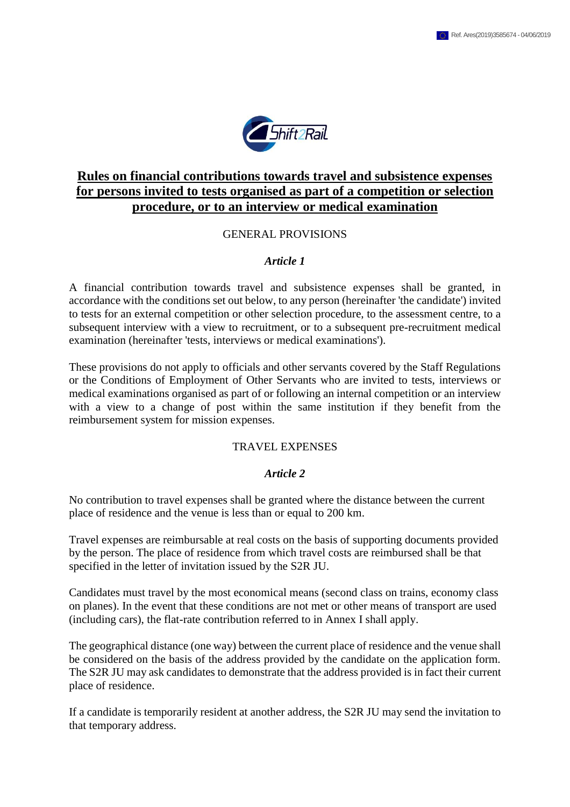

# **Rules on financial contributions towards travel and subsistence expenses for persons invited to tests organised as part of a competition or selection procedure, or to an interview or medical examination**

# GENERAL PROVISIONS

# *Article 1*

A financial contribution towards travel and subsistence expenses shall be granted, in accordance with the conditions set out below, to any person (hereinafter 'the candidate') invited to tests for an external competition or other selection procedure, to the assessment centre, to a subsequent interview with a view to recruitment, or to a subsequent pre-recruitment medical examination (hereinafter 'tests, interviews or medical examinations').

These provisions do not apply to officials and other servants covered by the Staff Regulations or the Conditions of Employment of Other Servants who are invited to tests, interviews or medical examinations organised as part of or following an internal competition or an interview with a view to a change of post within the same institution if they benefit from the reimbursement system for mission expenses.

#### TRAVEL EXPENSES

#### *Article 2*

No contribution to travel expenses shall be granted where the distance between the current place of residence and the venue is less than or equal to 200 km.

Travel expenses are reimbursable at real costs on the basis of supporting documents provided by the person. The place of residence from which travel costs are reimbursed shall be that specified in the letter of invitation issued by the S2R JU.

Candidates must travel by the most economical means (second class on trains, economy class on planes). In the event that these conditions are not met or other means of transport are used (including cars), the flat-rate contribution referred to in Annex I shall apply.

The geographical distance (one way) between the current place of residence and the venue shall be considered on the basis of the address provided by the candidate on the application form. The S2R JU may ask candidates to demonstrate that the address provided is in fact their current place of residence.

If a candidate is temporarily resident at another address, the S2R JU may send the invitation to that temporary address.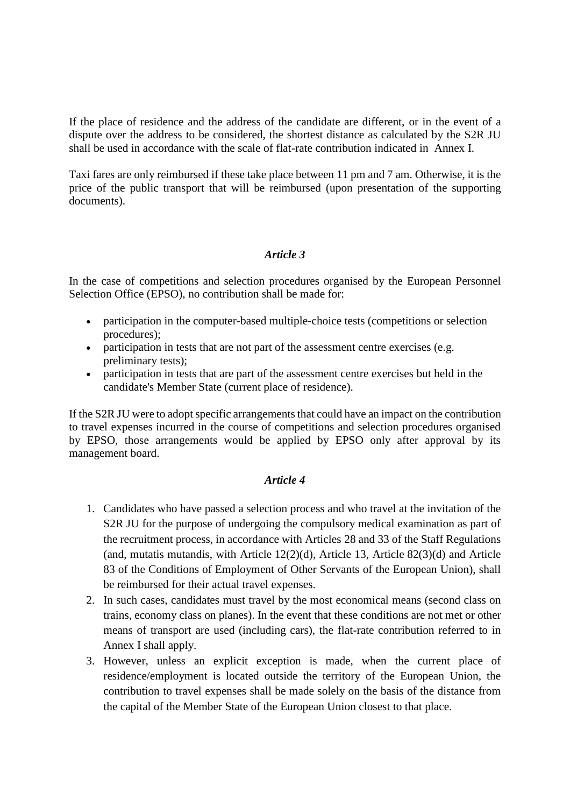If the place of residence and the address of the candidate are different, or in the event of a dispute over the address to be considered, the shortest distance as calculated by the S2R JU shall be used in accordance with the scale of flat-rate contribution indicated in Annex I.

Taxi fares are only reimbursed if these take place between 11 pm and 7 am. Otherwise, it is the price of the public transport that will be reimbursed (upon presentation of the supporting documents).

# *Article 3*

In the case of competitions and selection procedures organised by the European Personnel Selection Office (EPSO), no contribution shall be made for:

- participation in the computer-based multiple-choice tests (competitions or selection procedures);
- participation in tests that are not part of the assessment centre exercises (e.g. preliminary tests);
- participation in tests that are part of the assessment centre exercises but held in the candidate's Member State (current place of residence).

If the S2R JU were to adopt specific arrangements that could have an impact on the contribution to travel expenses incurred in the course of competitions and selection procedures organised by EPSO, those arrangements would be applied by EPSO only after approval by its management board.

# *Article 4*

- 1. Candidates who have passed a selection process and who travel at the invitation of the S2R JU for the purpose of undergoing the compulsory medical examination as part of the recruitment process, in accordance with Articles 28 and 33 of the Staff Regulations (and, mutatis mutandis, with Article  $12(2)(d)$ , Article 13, Article  $82(3)(d)$  and Article 83 of the Conditions of Employment of Other Servants of the European Union), shall be reimbursed for their actual travel expenses.
- 2. In such cases, candidates must travel by the most economical means (second class on trains, economy class on planes). In the event that these conditions are not met or other means of transport are used (including cars), the flat-rate contribution referred to in Annex I shall apply.
- 3. However, unless an explicit exception is made, when the current place of residence/employment is located outside the territory of the European Union, the contribution to travel expenses shall be made solely on the basis of the distance from the capital of the Member State of the European Union closest to that place.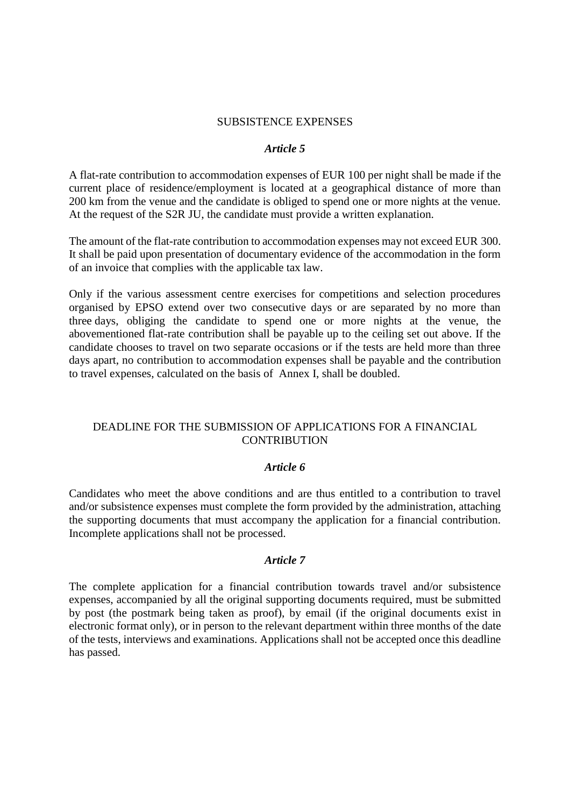### SUBSISTENCE EXPENSES

### *Article 5*

A flat-rate contribution to accommodation expenses of EUR 100 per night shall be made if the current place of residence/employment is located at a geographical distance of more than 200 km from the venue and the candidate is obliged to spend one or more nights at the venue. At the request of the S2R JU, the candidate must provide a written explanation.

The amount of the flat-rate contribution to accommodation expenses may not exceed EUR 300. It shall be paid upon presentation of documentary evidence of the accommodation in the form of an invoice that complies with the applicable tax law.

Only if the various assessment centre exercises for competitions and selection procedures organised by EPSO extend over two consecutive days or are separated by no more than three days, obliging the candidate to spend one or more nights at the venue, the abovementioned flat-rate contribution shall be payable up to the ceiling set out above. If the candidate chooses to travel on two separate occasions or if the tests are held more than three days apart, no contribution to accommodation expenses shall be payable and the contribution to travel expenses, calculated on the basis of Annex I, shall be doubled.

# DEADLINE FOR THE SUBMISSION OF APPLICATIONS FOR A FINANCIAL **CONTRIBUTION**

### *Article 6*

Candidates who meet the above conditions and are thus entitled to a contribution to travel and/or subsistence expenses must complete the form provided by the administration, attaching the supporting documents that must accompany the application for a financial contribution. Incomplete applications shall not be processed.

# *Article 7*

The complete application for a financial contribution towards travel and/or subsistence expenses, accompanied by all the original supporting documents required, must be submitted by post (the postmark being taken as proof), by email (if the original documents exist in electronic format only), or in person to the relevant department within three months of the date of the tests, interviews and examinations. Applications shall not be accepted once this deadline has passed.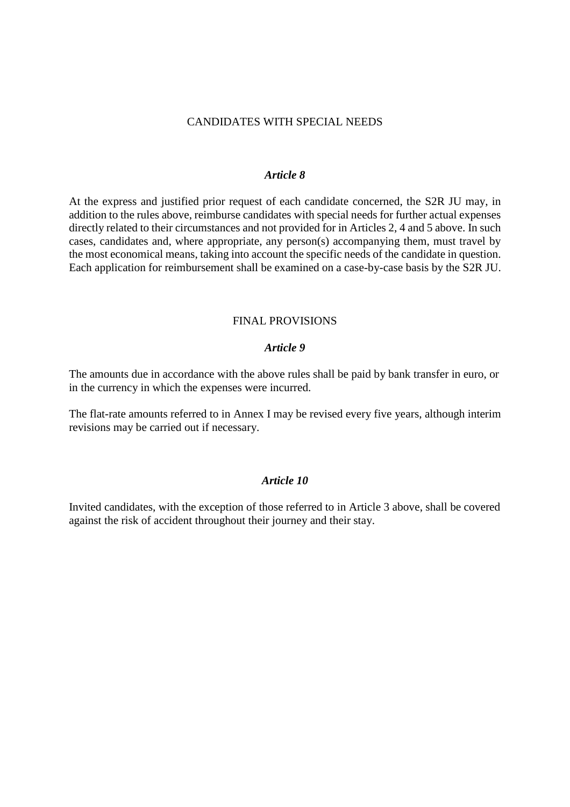### CANDIDATES WITH SPECIAL NEEDS

### *Article 8*

At the express and justified prior request of each candidate concerned, the S2R JU may, in addition to the rules above, reimburse candidates with special needs for further actual expenses directly related to their circumstances and not provided for in Articles 2, 4 and 5 above. In such cases, candidates and, where appropriate, any person(s) accompanying them, must travel by the most economical means, taking into account the specific needs of the candidate in question. Each application for reimbursement shall be examined on a case-by-case basis by the S2R JU.

### FINAL PROVISIONS

### *Article 9*

The amounts due in accordance with the above rules shall be paid by bank transfer in euro, or in the currency in which the expenses were incurred.

The flat-rate amounts referred to in Annex I may be revised every five years, although interim revisions may be carried out if necessary.

# *Article 10*

Invited candidates, with the exception of those referred to in Article 3 above, shall be covered against the risk of accident throughout their journey and their stay.